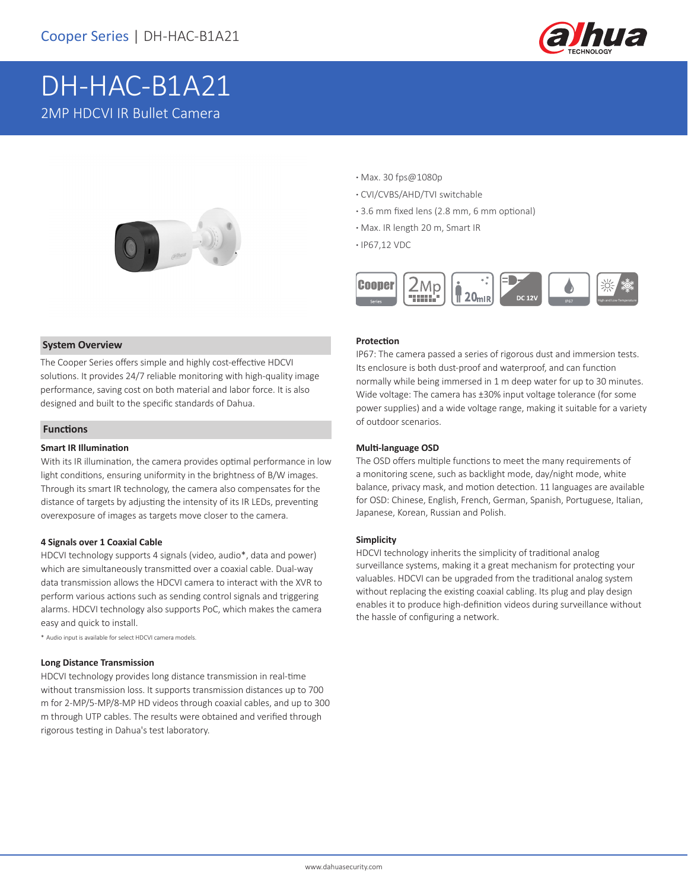

# DH-HAC-B1A21 2MP HDCVI IR Bullet Camera



### **System Overview**

The Cooper Series offers simple and highly cost-effective HDCVI solutions. It provides 24/7 reliable monitoring with high-quality image performance, saving cost on both material and labor force. It is also designed and built to the specific standards of Dahua.

### **Functions**

### **Smart IR Illumination**

With its IR illumination, the camera provides optimal performance in low light conditions, ensuring uniformity in the brightness of B/W images. Through its smart IR technology, the camera also compensates for the distance of targets by adjusting the intensity of its IR LEDs, preventing overexposure of images as targets move closer to the camera.

### **4 Signals over 1 Coaxial Cable**

HDCVI technology supports 4 signals (video, audio\*, data and power) which are simultaneously transmitted over a coaxial cable. Dual-way data transmission allows the HDCVI camera to interact with the XVR to perform various actions such as sending control signals and triggering alarms. HDCVI technology also supports PoC, which makes the camera easy and quick to install.

\* Audio input is available for select HDCVI camera models.

#### **Long Distance Transmission**

HDCVI technology provides long distance transmission in real-time without transmission loss. It supports transmission distances up to 700 m for 2-MP/5-MP/8-MP HD videos through coaxial cables, and up to 300 m through UTP cables. The results were obtained and verified through rigorous testing in Dahua's test laboratory.

- **·** Max. 30 fps@1080p
- **·** CVI/CVBS/AHD/TVI switchable
- **·** 3.6 mm fixed lens (2.8 mm, 6 mm optional)
- **·** Max. IR length 20 m, Smart IR
- **·** IP67,12 VDC



### **Protection**

IP67: The camera passed a series of rigorous dust and immersion tests. Its enclosure is both dust-proof and waterproof, and can function normally while being immersed in 1 m deep water for up to 30 minutes. Wide voltage: The camera has ±30% input voltage tolerance (for some power supplies) and a wide voltage range, making it suitable for a variety of outdoor scenarios.

### **Multi-language OSD**

The OSD offers multiple functions to meet the many requirements of a monitoring scene, such as backlight mode, day/night mode, white balance, privacy mask, and motion detection. 11 languages are available for OSD: Chinese, English, French, German, Spanish, Portuguese, Italian, Japanese, Korean, Russian and Polish.

#### **Simplicity**

HDCVI technology inherits the simplicity of traditional analog surveillance systems, making it a great mechanism for protecting your valuables. HDCVI can be upgraded from the traditional analog system without replacing the existing coaxial cabling. Its plug and play design enables it to produce high-definition videos during surveillance without the hassle of configuring a network.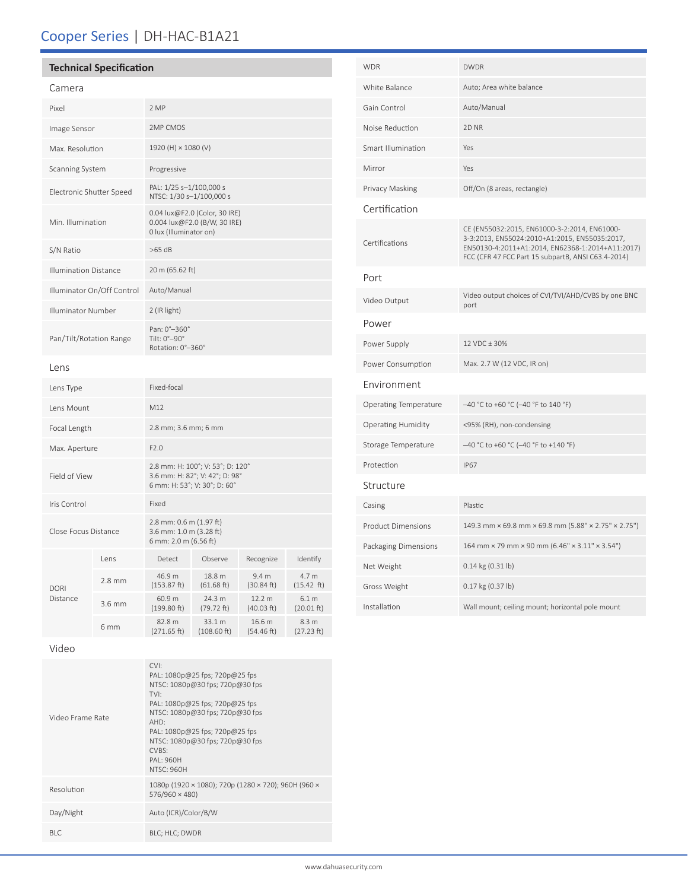# Cooper Series | DH-HAC-B1A21

## **Technical Specification**

### Camera

| Pixel                        |          | 2 MP                                                                                               |                       |                                |                     |
|------------------------------|----------|----------------------------------------------------------------------------------------------------|-----------------------|--------------------------------|---------------------|
| Image Sensor                 |          | 2MP CMOS                                                                                           |                       |                                |                     |
| Max. Resolution              |          | 1920 (H) × 1080 (V)                                                                                |                       |                                |                     |
| <b>Scanning System</b>       |          | Progressive                                                                                        |                       |                                |                     |
| Electronic Shutter Speed     |          | PAL: 1/25 s-1/100,000 s<br>NTSC: 1/30 s-1/100,000 s                                                |                       |                                |                     |
| Min. Illumination            |          | 0.04 lux@F2.0 (Color, 30 IRE)<br>0.004 lux@F2.0 (B/W, 30 IRE)<br>0 lux (Illuminator on)            |                       |                                |                     |
| S/N Ratio                    |          | $>65$ dB                                                                                           |                       |                                |                     |
| <b>Illumination Distance</b> |          | 20 m (65.62 ft)                                                                                    |                       |                                |                     |
| Illuminator On/Off Control   |          | Auto/Manual                                                                                        |                       |                                |                     |
| Illuminator Number           |          | 2 (IR light)                                                                                       |                       |                                |                     |
| Pan/Tilt/Rotation Range      |          | Pan: 0°-360°<br>Tilt: 0°-90°<br>Rotation: 0°-360°                                                  |                       |                                |                     |
| Lens                         |          |                                                                                                    |                       |                                |                     |
| Lens Type                    |          | Fixed-focal                                                                                        |                       |                                |                     |
| Lens Mount                   |          | M12                                                                                                |                       |                                |                     |
| Focal Length                 |          | 2.8 mm; 3.6 mm; 6 mm                                                                               |                       |                                |                     |
| Max. Aperture                |          | F2.0                                                                                               |                       |                                |                     |
| Field of View                |          | 2.8 mm: H: 100°; V: 53°; D: 120°<br>3.6 mm: H: 82°; V: 42°; D: 98°<br>6 mm: H: 53°; V: 30°; D: 60° |                       |                                |                     |
| Iris Control                 |          | Fixed                                                                                              |                       |                                |                     |
| Close Focus Distance         |          | 2.8 mm: 0.6 m (1.97 ft)<br>3.6 mm: 1.0 m (3.28 ft)<br>6 mm: 2.0 m (6.56 ft)                        |                       |                                |                     |
|                              | Lens     | Detect                                                                                             | Observe               | Recognize                      | Identify            |
| <b>DORI</b><br>Distance      | $2.8$ mm | 46.9 m<br>(153.87 ft)                                                                              | 18.8 m<br>(61.68 ft)  | 9.4 <sub>m</sub><br>(30.84 ft) | 4.7 m<br>(15.42 ft) |
|                              | 3.6 mm   | 60.9 m<br>(199.80 ft)                                                                              | 24.3 m<br>(79.72 ft)  | 12.2 m<br>(40.03 ft)           | 6.1 m<br>(20.01 ft) |
|                              | 6 mm     | 82.8 m<br>(271.65 ft)                                                                              | 33.1 m<br>(108.60 ft) | 16.6 m<br>(54.46 ft)           | 8.3 m<br>(27.23 ft) |

| <b>WDR</b>                   | <b>DWDR</b>                                                                                                                                                                                             |  |  |
|------------------------------|---------------------------------------------------------------------------------------------------------------------------------------------------------------------------------------------------------|--|--|
| White Balance                | Auto; Area white balance                                                                                                                                                                                |  |  |
| Gain Control                 | Auto/Manual                                                                                                                                                                                             |  |  |
| Noise Reduction              | 2D <sub>NR</sub>                                                                                                                                                                                        |  |  |
| Smart Illumination           | Yes                                                                                                                                                                                                     |  |  |
| Mirror                       | Yes                                                                                                                                                                                                     |  |  |
| Privacy Masking              | Off/On (8 areas, rectangle)                                                                                                                                                                             |  |  |
| Certification                |                                                                                                                                                                                                         |  |  |
| Certifications               | CE (EN55032:2015, EN61000-3-2:2014, EN61000-<br>3-3:2013, EN55024:2010+A1:2015, EN55035:2017,<br>EN50130-4:2011+A1:2014, EN62368-1:2014+A11:2017)<br>FCC (CFR 47 FCC Part 15 subpartB, ANSI C63.4-2014) |  |  |
| Port                         |                                                                                                                                                                                                         |  |  |
| Video Output                 | Video output choices of CVI/TVI/AHD/CVBS by one BNC<br>port                                                                                                                                             |  |  |
| Power                        |                                                                                                                                                                                                         |  |  |
| Power Supply                 | 12 VDC ± 30%                                                                                                                                                                                            |  |  |
| Power Consumption            | Max. 2.7 W (12 VDC, IR on)                                                                                                                                                                              |  |  |
| Environment                  |                                                                                                                                                                                                         |  |  |
| <b>Operating Temperature</b> | -40 °C to +60 °C (-40 °F to 140 °F)                                                                                                                                                                     |  |  |
| <b>Operating Humidity</b>    | <95% (RH), non-condensing                                                                                                                                                                               |  |  |
| Storage Temperature          | -40 °C to +60 °C (-40 °F to +140 °F)                                                                                                                                                                    |  |  |
| Protection                   | <b>IP67</b>                                                                                                                                                                                             |  |  |
| Structure                    |                                                                                                                                                                                                         |  |  |
| Casing                       | Plastic                                                                                                                                                                                                 |  |  |
| <b>Product Dimensions</b>    | 149.3 mm × 69.8 mm × 69.8 mm (5.88" × 2.75" × 2.75")                                                                                                                                                    |  |  |
| Packaging Dimensions         | 164 mm × 79 mm × 90 mm (6.46" × 3.11" × 3.54")                                                                                                                                                          |  |  |
| Net Weight                   | 0.14 kg (0.31 lb)                                                                                                                                                                                       |  |  |
| Gross Weight                 | 0.17 kg (0.37 lb)                                                                                                                                                                                       |  |  |
| Installation                 | Wall mount; ceiling mount; horizontal pole mount                                                                                                                                                        |  |  |

### Video

| Video Frame Rate | CVI:<br>PAL: 1080p@25 fps; 720p@25 fps<br>NTSC: 1080p@30 fps; 720p@30 fps<br>TVI:<br>PAL: 1080p@25 fps; 720p@25 fps<br>NTSC: 1080p@30 fps; 720p@30 fps<br>AHD:<br>PAL: 1080p@25 fps; 720p@25 fps<br>NTSC: 1080p@30 fps; 720p@30 fps<br>CVBS:<br>PAI: 960H<br><b>NTSC: 960H</b> |
|------------------|--------------------------------------------------------------------------------------------------------------------------------------------------------------------------------------------------------------------------------------------------------------------------------|
| Resolution       | 1080p (1920 × 1080); 720p (1280 × 720); 960H (960 ×<br>$576/960 \times 480$                                                                                                                                                                                                    |
| Day/Night        | Auto (ICR)/Color/B/W                                                                                                                                                                                                                                                           |
| BI C             | BLC; HLC; DWDR                                                                                                                                                                                                                                                                 |